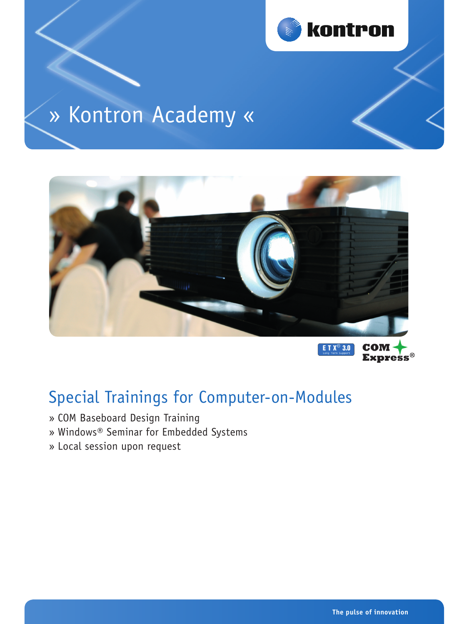

# » Kontron Academy «



**ETX<sup>®</sup> 3.0 Express®** 

# Special Trainings for Computer-on-Modules

- » COM Baseboard Design Training
- » Windows® Seminar for Embedded Systems
- » Local session upon request